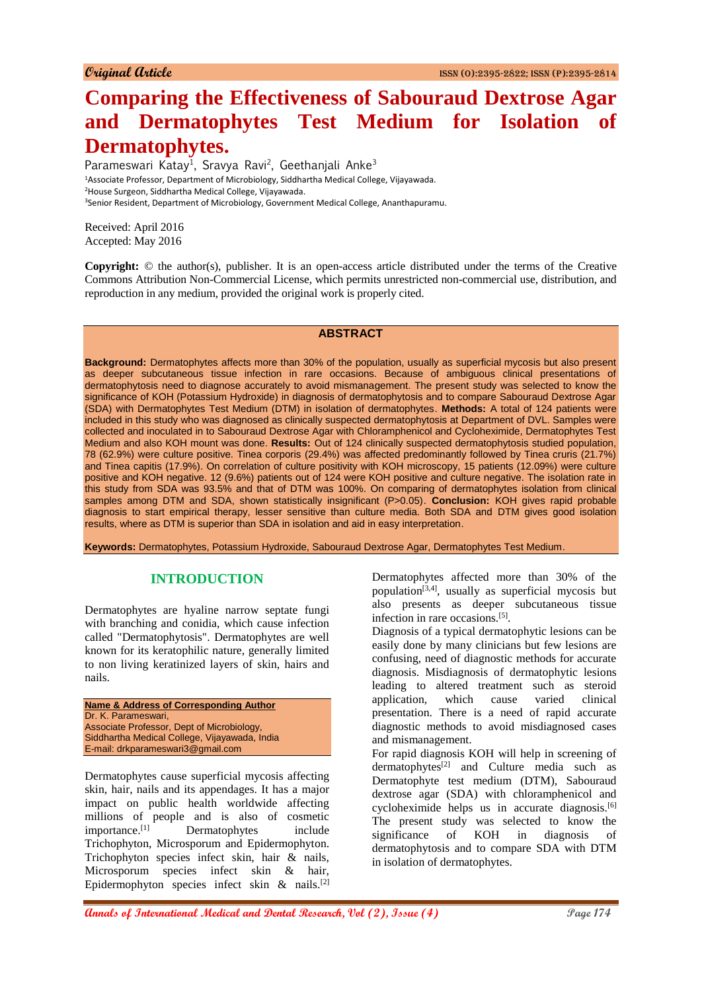# **Comparing the Effectiveness of Sabouraud Dextrose Agar and Dermatophytes Test Medium for Isolation of Dermatophytes.**

Parameswari Katay<sup>1</sup>, Sravya Ravi<sup>2</sup>, Geethanjali Anke<sup>3</sup> Associate Professor, Department of Microbiology, Siddhartha Medical College, Vijayawada. House Surgeon, Siddhartha Medical College, Vijayawada. Senior Resident, Department of Microbiology, Government Medical College, Ananthapuramu.

Received: April 2016 Accepted: May 2016

**Copyright:** © the author(s), publisher. It is an open-access article distributed under the terms of the Creative Commons Attribution Non-Commercial License, which permits unrestricted non-commercial use, distribution, and reproduction in any medium, provided the original work is properly cited.

## **ABSTRACT**

**Background:** Dermatophytes affects more than 30% of the population, usually as superficial mycosis but also present as deeper subcutaneous tissue infection in rare occasions. Because of ambiguous clinical presentations of dermatophytosis need to diagnose accurately to avoid mismanagement. The present study was selected to know the significance of KOH (Potassium Hydroxide) in diagnosis of dermatophytosis and to compare Sabouraud Dextrose Agar (SDA) with Dermatophytes Test Medium (DTM) in isolation of dermatophytes. **Methods:** A total of 124 patients were included in this study who was diagnosed as clinically suspected dermatophytosis at Department of DVL. Samples were collected and inoculated in to Sabouraud Dextrose Agar with Chloramphenicol and Cycloheximide, Dermatophytes Test Medium and also KOH mount was done. **Results:** Out of 124 clinically suspected dermatophytosis studied population, 78 (62.9%) were culture positive. Tinea corporis (29.4%) was affected predominantly followed by Tinea cruris (21.7%) and Tinea capitis (17.9%). On correlation of culture positivity with KOH microscopy, 15 patients (12.09%) were culture positive and KOH negative. 12 (9.6%) patients out of 124 were KOH positive and culture negative. The isolation rate in this study from SDA was 93.5% and that of DTM was 100%. On comparing of dermatophytes isolation from clinical samples among DTM and SDA, shown statistically insignificant (P>0.05). **Conclusion:** KOH gives rapid probable diagnosis to start empirical therapy, lesser sensitive than culture media. Both SDA and DTM gives good isolation results, where as DTM is superior than SDA in isolation and aid in easy interpretation.

**Keywords:** Dermatophytes, Potassium Hydroxide, Sabouraud Dextrose Agar, Dermatophytes Test Medium.

## **INTRODUCTION**

Dermatophytes are hyaline narrow septate fungi with branching and conidia, which cause infection called "Dermatophytosis". Dermatophytes are well known for its keratophilic nature, generally limited to non living keratinized layers of skin, hairs and nails.

**Name & Address of Corresponding Author** Dr. K. Parameswari, Associate Professor, Dept of Microbiology, Siddhartha Medical College, Vijayawada, India E-mail: drkparameswari3@gmail.com

Dermatophytes cause superficial mycosis affecting skin, hair, nails and its appendages. It has a major impact on public health worldwide affecting millions of people and is also of cosmetic importance.<sup>[1]</sup> Dermatophytes include Trichophyton, Microsporum and Epidermophyton. Trichophyton species infect skin, hair & nails, Microsporum species infect skin & hair, Epidermophyton species infect skin & nails.[2]

Dermatophytes affected more than 30% of the population<sup>[3,4]</sup>, usually as superficial mycosis but also presents as deeper subcutaneous tissue infection in rare occasions.<sup>[5]</sup>.

Diagnosis of a typical dermatophytic lesions can be easily done by many clinicians but few lesions are confusing, need of diagnostic methods for accurate diagnosis. Misdiagnosis of dermatophytic lesions leading to altered treatment such as steroid application, which cause varied clinical presentation. There is a need of rapid accurate diagnostic methods to avoid misdiagnosed cases and mismanagement.

For rapid diagnosis KOH will help in screening of dermatophytes<sup>[2]</sup> and Culture media such as Dermatophyte test medium (DTM), Sabouraud dextrose agar (SDA) with chloramphenicol and cycloheximide helps us in accurate diagnosis.<sup>[6]</sup> The present study was selected to know the significance of KOH in diagnosis of dermatophytosis and to compare SDA with DTM in isolation of dermatophytes.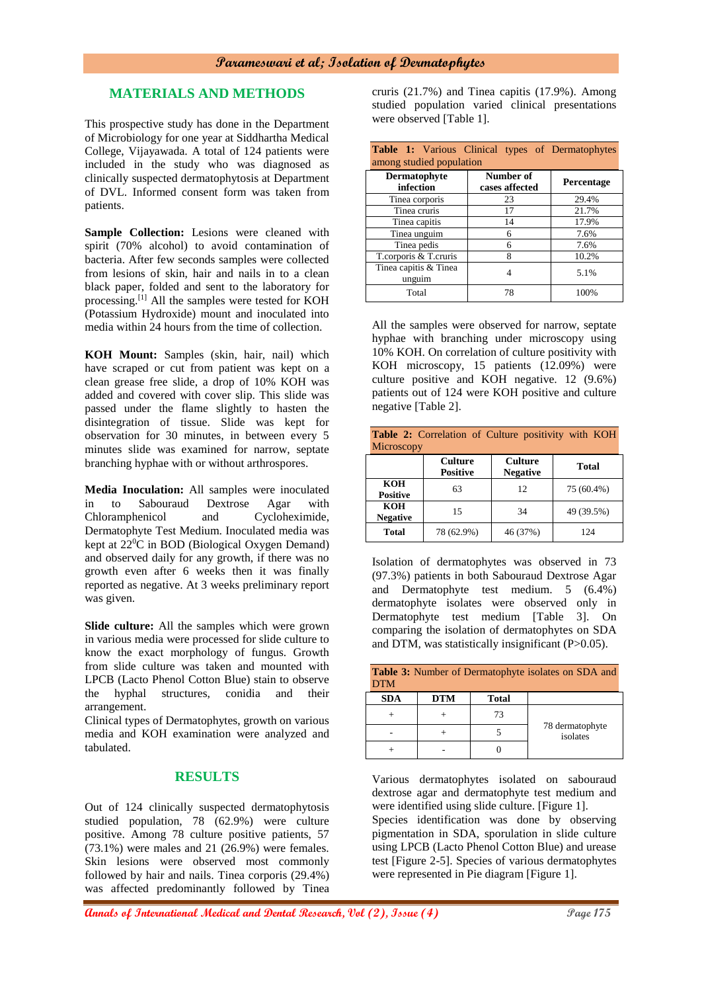## **MATERIALS AND METHODS**

This prospective study has done in the Department of Microbiology for one year at Siddhartha Medical College, Vijayawada. A total of 124 patients were included in the study who was diagnosed as clinically suspected dermatophytosis at Department of DVL. Informed consent form was taken from patients.

**Sample Collection:** Lesions were cleaned with spirit (70% alcohol) to avoid contamination of bacteria. After few seconds samples were collected from lesions of skin, hair and nails in to a clean black paper, folded and sent to the laboratory for processing.[1] All the samples were tested for KOH (Potassium Hydroxide) mount and inoculated into media within 24 hours from the time of collection.

**KOH Mount:** Samples (skin, hair, nail) which have scraped or cut from patient was kept on a clean grease free slide, a drop of 10% KOH was added and covered with cover slip. This slide was passed under the flame slightly to hasten the disintegration of tissue. Slide was kept for observation for 30 minutes, in between every 5 minutes slide was examined for narrow, septate branching hyphae with or without arthrospores.

**Media Inoculation:** All samples were inoculated in to Sabouraud Dextrose Agar with Chloramphenicol and Cycloheximide, Dermatophyte Test Medium. Inoculated media was kept at 22<sup>0</sup>C in BOD (Biological Oxygen Demand) and observed daily for any growth, if there was no growth even after 6 weeks then it was finally reported as negative. At 3 weeks preliminary report was given.

**Slide culture:** All the samples which were grown in various media were processed for slide culture to know the exact morphology of fungus. Growth from slide culture was taken and mounted with LPCB (Lacto Phenol Cotton Blue) stain to observe the hyphal structures, conidia and their arrangement.

Clinical types of Dermatophytes, growth on various media and KOH examination were analyzed and tabulated.

## **RESULTS**

Out of 124 clinically suspected dermatophytosis studied population, 78 (62.9%) were culture positive. Among 78 culture positive patients, 57 (73.1%) were males and 21 (26.9%) were females. Skin lesions were observed most commonly followed by hair and nails. Tinea corporis (29.4%) was affected predominantly followed by Tinea

cruris (21.7%) and Tinea capitis (17.9%). Among studied population varied clinical presentations were observed [Table 1].

| <b>Table 1:</b> Various Clinical types of Dermatophytes |                |            |  |  |  |
|---------------------------------------------------------|----------------|------------|--|--|--|
| among studied population                                |                |            |  |  |  |
| <b>Dermatophyte</b>                                     | Number of      | Percentage |  |  |  |
| infection                                               | cases affected |            |  |  |  |
| Tinea corporis                                          | 23             | 29.4%      |  |  |  |
| Tinea cruris                                            | 17             | 21.7%      |  |  |  |
| Tinea capitis                                           | 14             | 17.9%      |  |  |  |
| Tinea unguim                                            | 6              | 7.6%       |  |  |  |
| Tinea pedis                                             | 6              | 7.6%       |  |  |  |
| T.corporis & T.cruris                                   | 8              | 10.2%      |  |  |  |
| Tinea capitis & Tinea                                   | 4              | 5.1%       |  |  |  |
| unguim                                                  |                |            |  |  |  |
| Total                                                   | 78             | 100%       |  |  |  |

All the samples were observed for narrow, septate hyphae with branching under microscopy using 10% KOH. On correlation of culture positivity with KOH microscopy, 15 patients (12.09%) were culture positive and KOH negative. 12 (9.6%) patients out of 124 were KOH positive and culture negative [Table 2].

| <b>Table 2:</b> Correlation of Culture positivity with KOH<br>Microscopy |                                   |                                   |              |  |  |
|--------------------------------------------------------------------------|-----------------------------------|-----------------------------------|--------------|--|--|
|                                                                          | <b>Culture</b><br><b>Positive</b> | <b>Culture</b><br><b>Negative</b> | <b>Total</b> |  |  |
| <b>KOH</b><br><b>Positive</b>                                            | 63                                | 12                                | 75 (60.4%)   |  |  |
| <b>KOH</b><br><b>Negative</b>                                            | 15                                | 34                                | 49 (39.5%)   |  |  |
| <b>Total</b>                                                             | 78 (62.9%)                        | 46 (37%)                          | 124          |  |  |

Isolation of dermatophytes was observed in 73 (97.3%) patients in both Sabouraud Dextrose Agar and Dermatophyte test medium. 5 (6.4%) dermatophyte isolates were observed only in Dermatophyte test medium [Table 3]. On comparing the isolation of dermatophytes on SDA and DTM, was statistically insignificant (P>0.05).

| <b>Table 3:</b> Number of Dermatophyte isolates on SDA and<br><b>DTM</b> |            |       |                             |  |
|--------------------------------------------------------------------------|------------|-------|-----------------------------|--|
| <b>SDA</b>                                                               | <b>DTM</b> | Total |                             |  |
|                                                                          |            | 73    | 78 dermatophyte<br>isolates |  |
|                                                                          |            |       |                             |  |
|                                                                          |            |       |                             |  |

Various dermatophytes isolated on sabouraud dextrose agar and dermatophyte test medium and were identified using slide culture. [Figure 1]. Species identification was done by observing pigmentation in SDA, sporulation in slide culture using LPCB (Lacto Phenol Cotton Blue) and urease test [Figure 2-5]. Species of various dermatophytes were represented in Pie diagram [Figure 1].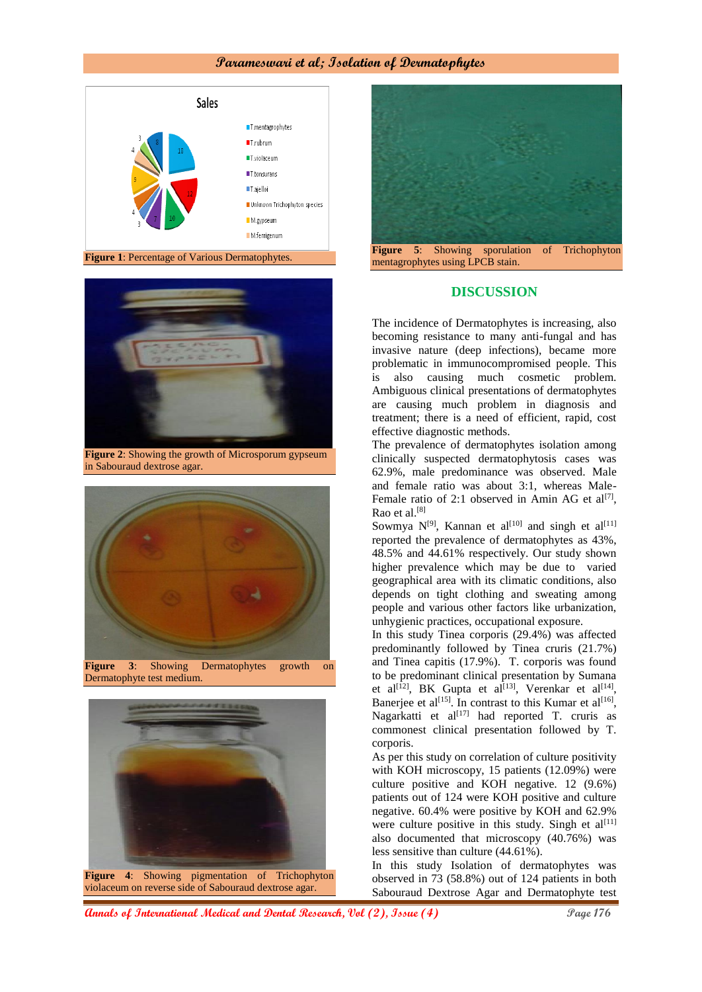## **Parameswari et al; Isolation of Dermatophytes**





**Figure 2**: Showing the growth of Microsporum gypseum in Sabouraud dextrose agar.



Dermatophyte test medium.





#### **DISCUSSION**

The incidence of Dermatophytes is increasing, also becoming resistance to many anti-fungal and has invasive nature (deep infections), became more problematic in immunocompromised people. This is also causing much cosmetic problem. Ambiguous clinical presentations of dermatophytes are causing much problem in diagnosis and treatment; there is a need of efficient, rapid, cost effective diagnostic methods.

The prevalence of dermatophytes isolation among clinically suspected dermatophytosis cases was 62.9%, male predominance was observed. Male and female ratio was about 3:1, whereas Male-Female ratio of 2:1 observed in Amin AG et al<sup>[7]</sup>, Rao et al.[8]

Sowmya  $N^{[9]}$ , Kannan et al<sup>[10]</sup> and singh et al<sup>[11]</sup> reported the prevalence of dermatophytes as 43%, 48.5% and 44.61% respectively. Our study shown higher prevalence which may be due to varied geographical area with its climatic conditions, also depends on tight clothing and sweating among people and various other factors like urbanization, unhygienic practices, occupational exposure.

In this study Tinea corporis (29.4%) was affected predominantly followed by Tinea cruris (21.7%) and Tinea capitis (17.9%). T. corporis was found to be predominant clinical presentation by Sumana et al<sup>[12]</sup>, BK Gupta et al<sup>[13]</sup>, Verenkar et al<sup>[14]</sup>, Banerjee et al<sup>[15]</sup>. In contrast to this Kumar et al<sup>[16]</sup>, Nagarkatti et al $[17]$  had reported T. cruris as commonest clinical presentation followed by T. corporis.

As per this study on correlation of culture positivity with KOH microscopy, 15 patients (12.09%) were culture positive and KOH negative. 12 (9.6%) patients out of 124 were KOH positive and culture negative. 60.4% were positive by KOH and 62.9% were culture positive in this study. Singh et  $al^{[11]}$ also documented that microscopy (40.76%) was less sensitive than culture (44.61%).

In this study Isolation of dermatophytes was observed in 73 (58.8%) out of 124 patients in both Sabouraud Dextrose Agar and Dermatophyte test

**Annals of International Medical and Dental Research, Vol (2), Issue (4) Page 176**